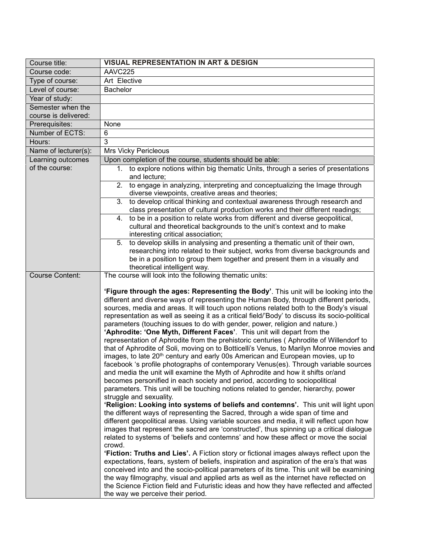| Course title:                             | <b>VISUAL REPRESENTATION IN ART &amp; DESIGN</b>                                                                                                                                                                                                                                                                                                                                                                                                                                                                                                                                                                                                                                                                                                                                                                                                                                                                                                                                                                                                                                                                                                                                                |
|-------------------------------------------|-------------------------------------------------------------------------------------------------------------------------------------------------------------------------------------------------------------------------------------------------------------------------------------------------------------------------------------------------------------------------------------------------------------------------------------------------------------------------------------------------------------------------------------------------------------------------------------------------------------------------------------------------------------------------------------------------------------------------------------------------------------------------------------------------------------------------------------------------------------------------------------------------------------------------------------------------------------------------------------------------------------------------------------------------------------------------------------------------------------------------------------------------------------------------------------------------|
| Course code:                              | AAVC225                                                                                                                                                                                                                                                                                                                                                                                                                                                                                                                                                                                                                                                                                                                                                                                                                                                                                                                                                                                                                                                                                                                                                                                         |
| Type of course:                           | Art Elective                                                                                                                                                                                                                                                                                                                                                                                                                                                                                                                                                                                                                                                                                                                                                                                                                                                                                                                                                                                                                                                                                                                                                                                    |
| Level of course:                          | Bachelor                                                                                                                                                                                                                                                                                                                                                                                                                                                                                                                                                                                                                                                                                                                                                                                                                                                                                                                                                                                                                                                                                                                                                                                        |
| Year of study:                            |                                                                                                                                                                                                                                                                                                                                                                                                                                                                                                                                                                                                                                                                                                                                                                                                                                                                                                                                                                                                                                                                                                                                                                                                 |
| Semester when the<br>course is delivered: |                                                                                                                                                                                                                                                                                                                                                                                                                                                                                                                                                                                                                                                                                                                                                                                                                                                                                                                                                                                                                                                                                                                                                                                                 |
| Prerequisites:                            | None                                                                                                                                                                                                                                                                                                                                                                                                                                                                                                                                                                                                                                                                                                                                                                                                                                                                                                                                                                                                                                                                                                                                                                                            |
| Number of ECTS:                           | 6                                                                                                                                                                                                                                                                                                                                                                                                                                                                                                                                                                                                                                                                                                                                                                                                                                                                                                                                                                                                                                                                                                                                                                                               |
| Hours:                                    | 3                                                                                                                                                                                                                                                                                                                                                                                                                                                                                                                                                                                                                                                                                                                                                                                                                                                                                                                                                                                                                                                                                                                                                                                               |
| Name of lecturer(s):                      | <b>Mrs Vicky Pericleous</b>                                                                                                                                                                                                                                                                                                                                                                                                                                                                                                                                                                                                                                                                                                                                                                                                                                                                                                                                                                                                                                                                                                                                                                     |
| Learning outcomes                         | Upon completion of the course, students should be able:                                                                                                                                                                                                                                                                                                                                                                                                                                                                                                                                                                                                                                                                                                                                                                                                                                                                                                                                                                                                                                                                                                                                         |
| of the course:                            | 1. to explore notions within big thematic Units, through a series of presentations<br>and lecture;                                                                                                                                                                                                                                                                                                                                                                                                                                                                                                                                                                                                                                                                                                                                                                                                                                                                                                                                                                                                                                                                                              |
|                                           | 2. to engage in analyzing, interpreting and conceptualizing the Image through<br>diverse viewpoints, creative areas and theories;                                                                                                                                                                                                                                                                                                                                                                                                                                                                                                                                                                                                                                                                                                                                                                                                                                                                                                                                                                                                                                                               |
|                                           | to develop critical thinking and contextual awareness through research and<br>3.<br>class presentation of cultural production works and their different readings;                                                                                                                                                                                                                                                                                                                                                                                                                                                                                                                                                                                                                                                                                                                                                                                                                                                                                                                                                                                                                               |
|                                           | 4. to be in a position to relate works from different and diverse geopolitical,                                                                                                                                                                                                                                                                                                                                                                                                                                                                                                                                                                                                                                                                                                                                                                                                                                                                                                                                                                                                                                                                                                                 |
|                                           | cultural and theoretical backgrounds to the unit's context and to make<br>interesting critical association;                                                                                                                                                                                                                                                                                                                                                                                                                                                                                                                                                                                                                                                                                                                                                                                                                                                                                                                                                                                                                                                                                     |
|                                           | to develop skills in analysing and presenting a thematic unit of their own,<br>5.                                                                                                                                                                                                                                                                                                                                                                                                                                                                                                                                                                                                                                                                                                                                                                                                                                                                                                                                                                                                                                                                                                               |
|                                           | researching into related to their subject, works from diverse backgrounds and                                                                                                                                                                                                                                                                                                                                                                                                                                                                                                                                                                                                                                                                                                                                                                                                                                                                                                                                                                                                                                                                                                                   |
|                                           | be in a position to group them together and present them in a visually and<br>theoretical intelligent way.                                                                                                                                                                                                                                                                                                                                                                                                                                                                                                                                                                                                                                                                                                                                                                                                                                                                                                                                                                                                                                                                                      |
| <b>Course Content:</b>                    | The course will look into the following thematic units:                                                                                                                                                                                                                                                                                                                                                                                                                                                                                                                                                                                                                                                                                                                                                                                                                                                                                                                                                                                                                                                                                                                                         |
|                                           | 'Figure through the ages: Representing the Body'. This unit will be looking into the<br>different and diverse ways of representing the Human Body, through different periods,<br>sources, media and areas. It will touch upon notions related both to the Body's visual<br>representation as well as seeing it as a critical field/'Body' to discuss its socio-political<br>parameters (touching issues to do with gender, power, religion and nature.)<br>'Aphrodite: 'One Myth, Different Faces'. This unit will depart from the<br>representation of Aphrodite from the prehistoric centuries (Aphrodite of Willendorf to<br>that of Aphrodite of Soli, moving on to Botticelli's Venus, to Marilyn Monroe movies and<br>images, to late 20 <sup>th</sup> century and early 00s American and European movies, up to<br>facebook 's profile photographs of contemporary Venus(es). Through variable sources<br>and media the unit will examine the Myth of Aphrodite and how it shifts or/and<br>becomes personified in each society and period, according to sociopolitical<br>parameters. This unit will be touching notions related to gender, hierarchy, power<br>struggle and sexuality. |
|                                           | 'Religion: Looking into systems of beliefs and contemns'. This unit will light upon<br>the different ways of representing the Sacred, through a wide span of time and<br>different geopolitical areas. Using variable sources and media, it will reflect upon how<br>images that represent the sacred are 'constructed', thus spinning up a critical dialogue<br>related to systems of 'beliefs and contemns' and how these affect or move the social<br>crowd.<br><b>'Fiction: Truths and Lies'.</b> A Fiction story or fictional images always reflect upon the<br>expectations, fears, system of beliefs, inspiration and aspiration of the era's that was<br>conceived into and the socio-political parameters of its time. This unit will be examining<br>the way filmography, visual and applied arts as well as the internet have reflected on<br>the Science Fiction field and Futuristic ideas and how they have reflected and affected<br>the way we perceive their period.                                                                                                                                                                                                           |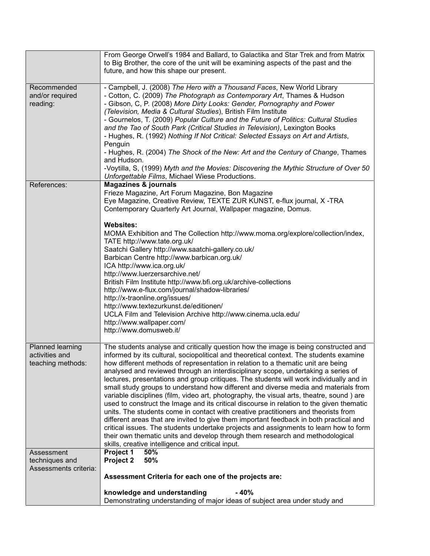|                       | From George Orwell's 1984 and Ballard, to Galactika and Star Trek and from Matrix<br>to Big Brother, the core of the unit will be examining aspects of the past and the<br>future, and how this shape our present. |
|-----------------------|--------------------------------------------------------------------------------------------------------------------------------------------------------------------------------------------------------------------|
|                       |                                                                                                                                                                                                                    |
| Recommended           | - Campbell, J. (2008) The Hero with a Thousand Faces, New World Library                                                                                                                                            |
| and/or required       | - Cotton, C. (2009) The Photograph as Contemporary Art, Thames & Hudson                                                                                                                                            |
| reading:              | - Gibson, C, P. (2008) More Dirty Looks: Gender, Pornography and Power                                                                                                                                             |
|                       | (Television, Media & Cultural Studies), British Film Institute                                                                                                                                                     |
|                       |                                                                                                                                                                                                                    |
|                       | - Gournelos, T. (2009) Popular Culture and the Future of Politics: Cultural Studies                                                                                                                                |
|                       | and the Tao of South Park (Critical Studies in Television), Lexington Books                                                                                                                                        |
|                       | - Hughes, R. (1992) Nothing If Not Critical: Selected Essays on Art and Artists,                                                                                                                                   |
|                       | Penguin                                                                                                                                                                                                            |
|                       | - Hughes, R. (2004) The Shock of the New: Art and the Century of Change, Thames                                                                                                                                    |
|                       | and Hudson.                                                                                                                                                                                                        |
|                       | -Voytilla, S, (1999) Myth and the Movies: Discovering the Mythic Structure of Over 50                                                                                                                              |
|                       | Unforgettable Films, Michael Wiese Productions.                                                                                                                                                                    |
| References:           | <b>Magazines &amp; journals</b>                                                                                                                                                                                    |
|                       | Frieze Magazine, Art Forum Magazine, Bon Magazine                                                                                                                                                                  |
|                       | Eye Magazine, Creative Review, TEXTE ZUR KUNST, e-flux journal, X -TRA                                                                                                                                             |
|                       | Contemporary Quarterly Art Journal, Wallpaper magazine, Domus.                                                                                                                                                     |
|                       |                                                                                                                                                                                                                    |
|                       | <b>Websites:</b>                                                                                                                                                                                                   |
|                       | MOMA Exhibition and The Collection http://www.moma.org/explore/collection/index,                                                                                                                                   |
|                       | TATE http://www.tate.org.uk/                                                                                                                                                                                       |
|                       | Saatchi Gallery http://www.saatchi-gallery.co.uk/                                                                                                                                                                  |
|                       | Barbican Centre http://www.barbican.org.uk/                                                                                                                                                                        |
|                       |                                                                                                                                                                                                                    |
|                       | ICA http://www.ica.org.uk/                                                                                                                                                                                         |
|                       | http://www.luerzersarchive.net/                                                                                                                                                                                    |
|                       | British Film Institute http://www.bfi.org.uk/archive-collections                                                                                                                                                   |
|                       | http://www.e-flux.com/journal/shadow-libraries/                                                                                                                                                                    |
|                       | http://x-traonline.org/issues/                                                                                                                                                                                     |
|                       | http://www.textezurkunst.de/editionen/                                                                                                                                                                             |
|                       | UCLA Film and Television Archive http://www.cinema.ucla.edu/                                                                                                                                                       |
|                       | http://www.wallpaper.com/                                                                                                                                                                                          |
|                       | http://www.domusweb.it/                                                                                                                                                                                            |
| Planned learning      |                                                                                                                                                                                                                    |
|                       | The students analyse and critically question how the image is being constructed and                                                                                                                                |
| activities and        | informed by its cultural, sociopolitical and theoretical context. The students examine                                                                                                                             |
| teaching methods:     | how different methods of representation in relation to a thematic unit are being                                                                                                                                   |
|                       | analysed and reviewed through an interdisciplinary scope, undertaking a series of                                                                                                                                  |
|                       | lectures, presentations and group critiques. The students will work individually and in                                                                                                                            |
|                       | small study groups to understand how different and diverse media and materials from                                                                                                                                |
|                       | variable disciplines (film, video art, photography, the visual arts, theatre, sound) are                                                                                                                           |
|                       | used to construct the Image and its critical discourse in relation to the given thematic                                                                                                                           |
|                       | units. The students come in contact with creative practitioners and theorists from                                                                                                                                 |
|                       | different areas that are invited to give them important feedback in both practical and                                                                                                                             |
|                       | critical issues. The students undertake projects and assignments to learn how to form                                                                                                                              |
|                       | their own thematic units and develop through them research and methodological                                                                                                                                      |
|                       | skills, creative intelligence and critical input.                                                                                                                                                                  |
| Assessment            | Project 1<br>50%                                                                                                                                                                                                   |
| techniques and        | 50%<br>Project 2                                                                                                                                                                                                   |
| Assessments criteria: |                                                                                                                                                                                                                    |
|                       | Assessment Criteria for each one of the projects are:                                                                                                                                                              |
|                       | $-40%$                                                                                                                                                                                                             |
|                       | knowledge and understanding<br>Demonstrating understanding of major ideas of subject area under study and                                                                                                          |
|                       |                                                                                                                                                                                                                    |